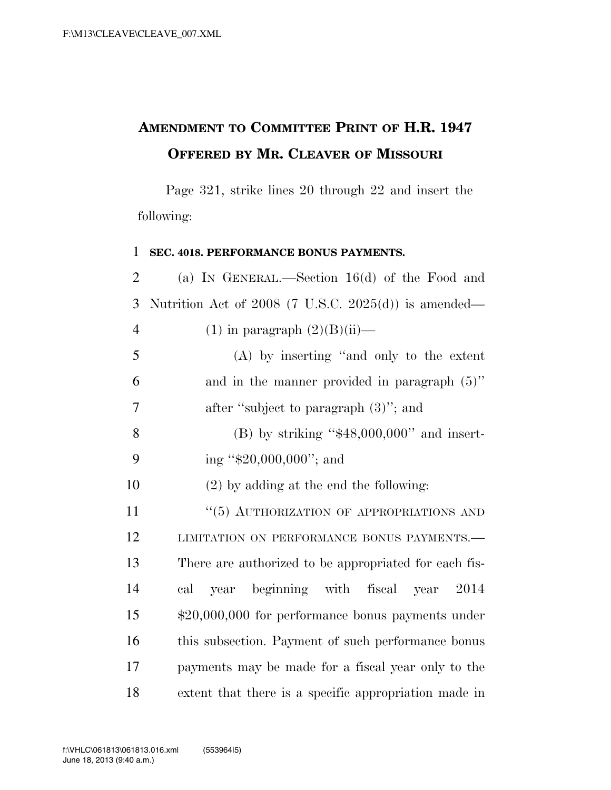## **AMENDMENT TO COMMITTEE PRINT OF H.R. 1947 OFFERED BY MR. CLEAVER OF MISSOURI**

Page 321, strike lines 20 through 22 and insert the following:

## 1 **SEC. 4018. PERFORMANCE BONUS PAYMENTS.**

2 (a) IN GENERAL.—Section 16(d) of the Food and 3 Nutrition Act of 2008 (7 U.S.C. 2025(d)) is amended— 4 (1) in paragraph  $(2)(B)(ii)$ — 5 (A) by inserting ''and only to the extent  $6 \qquad \qquad$  and in the manner provided in paragraph  $(5)$ " 7 after ''subject to paragraph (3)''; and 8 (B) by striking " $$48,000,000$ " and insert-9 ing ''\$20,000,000''; and 10 (2) by adding at the end the following: 11 "(5) AUTHORIZATION OF APPROPRIATIONS AND 12 LIMITATION ON PERFORMANCE BONUS PAYMENTS. 13 There are authorized to be appropriated for each fis-14 cal year beginning with fiscal year 2014 15 \$20,000,000 for performance bonus payments under 16 this subsection. Payment of such performance bonus 17 payments may be made for a fiscal year only to the 18 extent that there is a specific appropriation made in